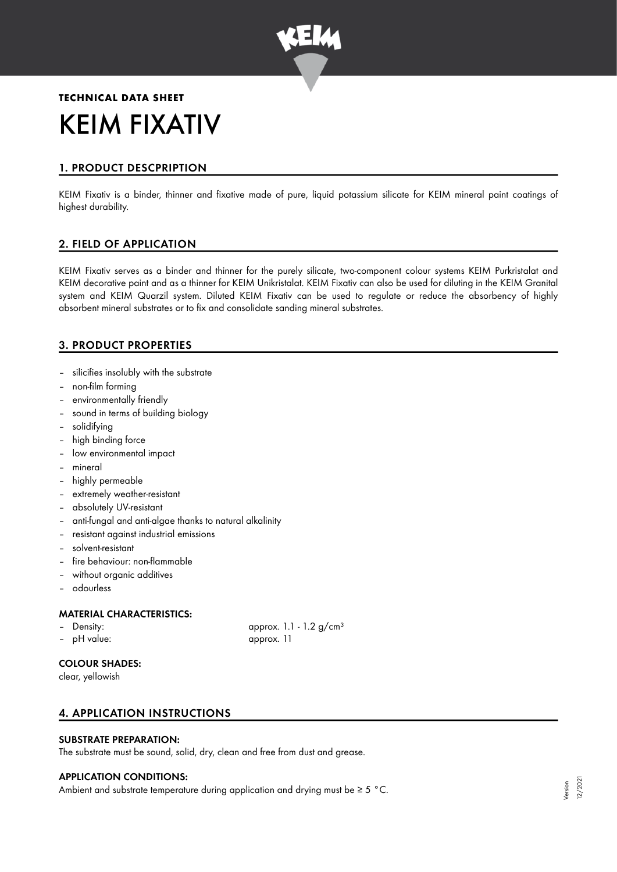

# **TECHNICAL DATA SHEET** KEIM FIXATIV

## 1. PRODUCT DESCPRIPTION

KEIM Fixativ is a binder, thinner and fixative made of pure, liquid potassium silicate for KEIM mineral paint coatings of highest durability.

## 2. FIELD OF APPLICATION

KEIM Fixativ serves as a binder and thinner for the purely silicate, two-component colour systems KEIM Purkristalat and KEIM decorative paint and as a thinner for KEIM Unikristalat. KEIM Fixativ can also be used for diluting in the KEIM Granital system and KEIM Quarzil system. Diluted KEIM Fixativ can be used to regulate or reduce the absorbency of highly absorbent mineral substrates or to fix and consolidate sanding mineral substrates.

## 3. PRODUCT PROPERTIES

- silicifies insolubly with the substrate
- non-film forming
- environmentally friendly
- sound in terms of building biology
- solidifying
- high binding force
- low environmental impact
- mineral
- highly permeable
- extremely weather-resistant
- absolutely UV-resistant
- anti-fungal and anti-algae thanks to natural alkalinity
- resistant against industrial emissions
- solvent-resistant
- fire behaviour: non-flammable
- without organic additives
- odourless

#### MATERIAL CHARACTERISTICS:

- 
- pH value: approx. 11

Density: approx. 1.1 - 1.2 g/cm<sup>3</sup>

## COLOUR SHADES:

clear, yellowish

## 4. APPLICATION INSTRUCTIONS

#### SUBSTRATE PREPARATION:

The substrate must be sound, solid, dry, clean and free from dust and grease.

#### APPLICATION CONDITIONS:

Ambient and substrate temperature during application and drying must be  $\geq 5$  °C.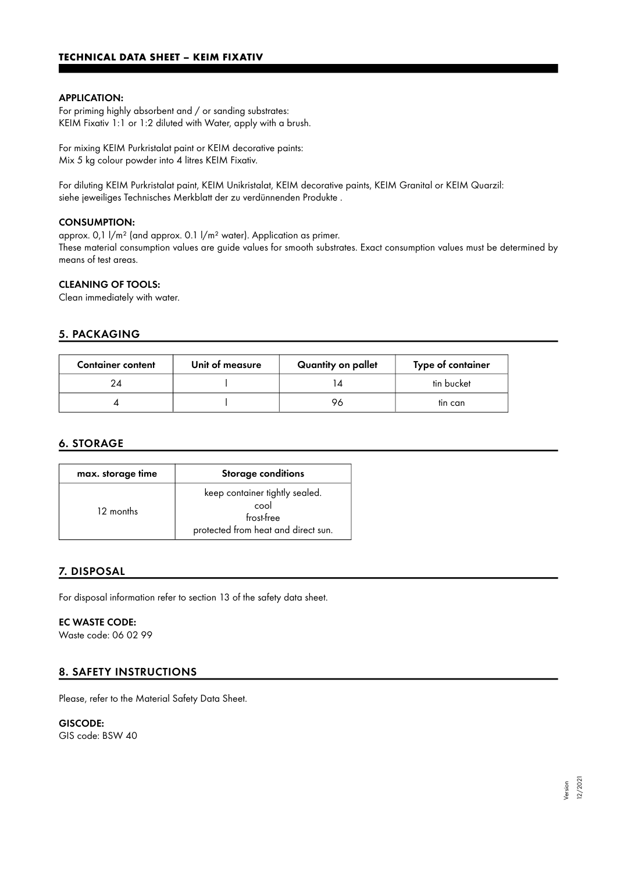## **TECHNICAL DATA SHEET – KEIM FIXATIV**

#### APPLICATION:

For priming highly absorbent and / or sanding substrates: KEIM Fixativ 1:1 or 1:2 diluted with Water, apply with a brush.

For mixing KEIM Purkristalat paint or KEIM decorative paints: Mix 5 kg colour powder into 4 litres KEIM Fixativ.

For diluting KEIM Purkristalat paint, KEIM Unikristalat, KEIM decorative paints, KEIM Granital or KEIM Quarzil: siehe jeweiliges Technisches Merkblatt der zu verdünnenden Produkte .

#### CONSUMPTION:

approx. 0,1 l/m² (and approx. 0.1 l/m² water). Application as primer. These material consumption values are guide values for smooth substrates. Exact consumption values must be determined by means of test areas.

#### CLEANING OF TOOLS:

Clean immediately with water.

#### 5. PACKAGING

| <b>Container content</b> | Unit of measure | Quantity on pallet | Type of container |
|--------------------------|-----------------|--------------------|-------------------|
| 24                       |                 |                    | tin bucket        |
|                          |                 | 96                 | tin can           |

#### 6. STORAGE

| max. storage time | <b>Storage conditions</b>                                                                   |  |
|-------------------|---------------------------------------------------------------------------------------------|--|
| 12 months         | keep container tightly sealed.<br>cool<br>frost-free<br>protected from heat and direct sun. |  |

#### 7. DISPOSAL

For disposal information refer to section 13 of the safety data sheet.

#### EC WASTE CODE:

Waste code: 06 02 99

#### 8. SAFETY INSTRUCTIONS

Please, refer to the Material Safety Data Sheet.

# GISCODE:

GIS code: BSW 40